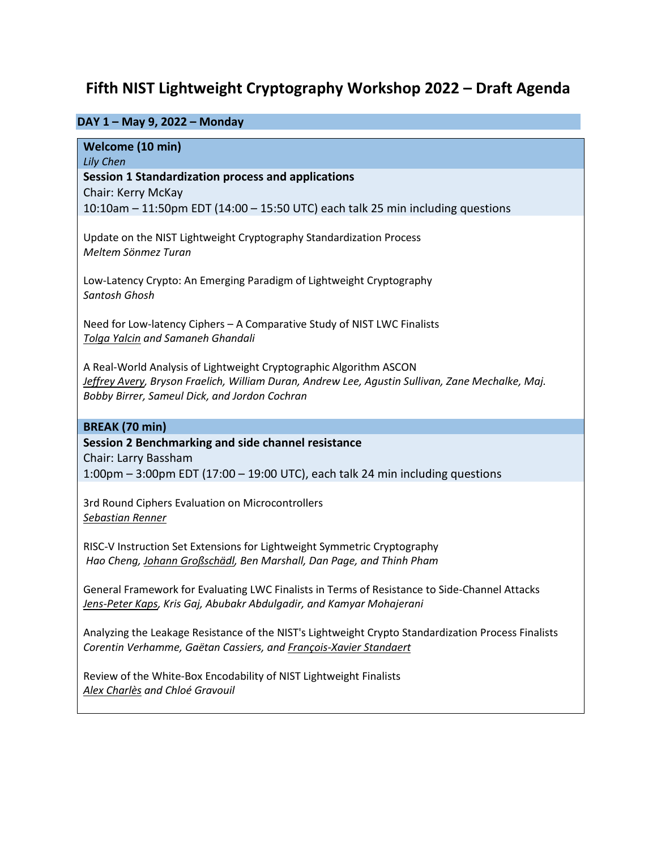# **Fifth NIST Lightweight Cryptography Workshop 2022 – Draft Agenda**

# **DAY 1 – May 9, 2022 – Monday**

**Welcome (10 min)** 

*Lily Chen*

**Session 1 Standardization process and applications**

Chair: Kerry McKay

10:10am – 11:50pm EDT (14:00 – 15:50 UTC) each talk 25 min including questions

Update on the NIST Lightweight Cryptography Standardization Process *Meltem Sönmez Turan* 

Low-Latency Crypto: An Emerging Paradigm of Lightweight Cryptography *Santosh Ghosh* 

Need for Low-latency Ciphers – A Comparative Study of NIST LWC Finalists *Tolga Yalcin and Samaneh Ghandali*

A Real-World Analysis of Lightweight Cryptographic Algorithm ASCON *Jeffrey Avery, Bryson Fraelich, William Duran, Andrew Lee, Agustin Sullivan, Zane Mechalke, Maj. Bobby Birrer, Sameul Dick, and Jordon Cochran*

## **BREAK (70 min)**

# **Session 2 Benchmarking and side channel resistance**

Chair: Larry Bassham

1:00pm – 3:00pm EDT (17:00 – 19:00 UTC), each talk 24 min including questions

3rd Round Ciphers Evaluation on Microcontrollers *Sebastian Renner*

RISC-V Instruction Set Extensions for Lightweight Symmetric Cryptography *Hao Cheng, Johann Großschädl, Ben Marshall, Dan Page, and Thinh Pham*

General Framework for Evaluating LWC Finalists in Terms of Resistance to Side-Channel Attacks *Jens-Peter Kaps, Kris Gaj, Abubakr Abdulgadir, and Kamyar Mohajerani*

Analyzing the Leakage Resistance of the NIST's Lightweight Crypto Standardization Process Finalists *Corentin Verhamme, Gaëtan Cassiers, and François-Xavier Standaert*

Review of the White-Box Encodability of NIST Lightweight Finalists *Alex Charlès and Chloé Gravouil*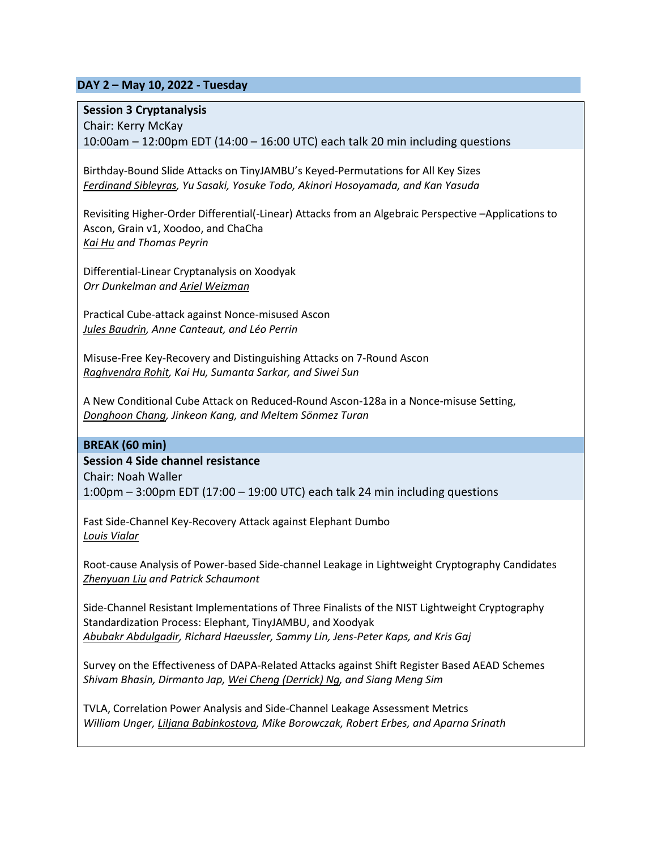## **DAY 2 – May 10, 2022 - Tuesday**

#### **Session 3 Cryptanalysis**

Chair: Kerry McKay 10:00am – 12:00pm EDT (14:00 – 16:00 UTC) each talk 20 min including questions

Birthday-Bound Slide Attacks on TinyJAMBU's Keyed-Permutations for All Key Sizes *Ferdinand Sibleyras, Yu Sasaki, Yosuke Todo, Akinori Hosoyamada, and Kan Yasuda*

Revisiting Higher-Order Differential(-Linear) Attacks from an Algebraic Perspective –Applications to Ascon, Grain v1, Xoodoo, and ChaCha *Kai Hu and Thomas Peyrin*

Differential-Linear Cryptanalysis on Xoodyak *Orr Dunkelman and Ariel Weizman*

Practical Cube-attack against Nonce-misused Ascon *Jules Baudrin, Anne Canteaut, and Léo Perrin*

Misuse-Free Key-Recovery and Distinguishing Attacks on 7-Round Ascon *Raghvendra Rohit, Kai Hu, Sumanta Sarkar, and Siwei Sun*

A New Conditional Cube Attack on Reduced-Round Ascon-128a in a Nonce-misuse Setting, *Donghoon Chang, Jinkeon Kang, and Meltem Sönmez Turan*

#### **BREAK (60 min)**

**Session 4 Side channel resistance**

Chair: Noah Waller 1:00pm – 3:00pm EDT (17:00 – 19:00 UTC) each talk 24 min including questions

Fast Side-Channel Key-Recovery Attack against Elephant Dumbo *Louis Vialar*

Root-cause Analysis of Power-based Side-channel Leakage in Lightweight Cryptography Candidates *Zhenyuan Liu and Patrick Schaumont*

Side-Channel Resistant Implementations of Three Finalists of the NIST Lightweight Cryptography Standardization Process: Elephant, TinyJAMBU, and Xoodyak *Abubakr Abdulgadir, Richard Haeussler, Sammy Lin, Jens-Peter Kaps, and Kris Gaj*

Survey on the Effectiveness of DAPA-Related Attacks against Shift Register Based AEAD Schemes *Shivam Bhasin, Dirmanto Jap, Wei Cheng (Derrick) Ng, and Siang Meng Sim*

TVLA, Correlation Power Analysis and Side-Channel Leakage Assessment Metrics *William Unger, Liljana Babinkostova, Mike Borowczak, Robert Erbes, and Aparna Srinath*